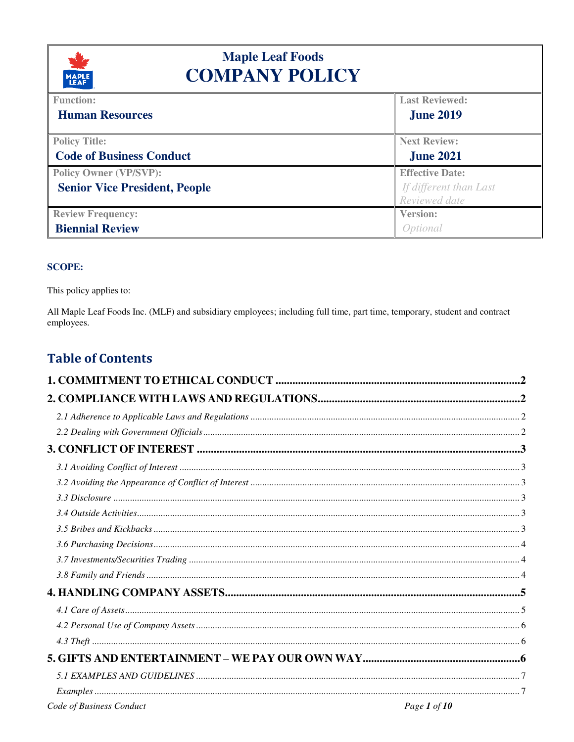

# **Maple Leaf Foods COMPANY POLICY**

| <u>and the second</u>                |                        |
|--------------------------------------|------------------------|
| <b>Function:</b>                     | <b>Last Reviewed:</b>  |
| <b>Human Resources</b>               | <b>June 2019</b>       |
| <b>Policy Title:</b>                 | <b>Next Review:</b>    |
| <b>Code of Business Conduct</b>      | <b>June 2021</b>       |
| <b>Policy Owner (VP/SVP):</b>        | <b>Effective Date:</b> |
| <b>Senior Vice President, People</b> | If different than Last |
|                                      | Reviewed date          |
| <b>Review Frequency:</b>             | <b>Version:</b>        |
| <b>Biennial Review</b>               | Optional               |

#### **SCOPE:**

This policy applies to:

All Maple Leaf Foods Inc. (MLF) and subsidiary employees; including full time, part time, temporary, student and contract employees.

## **Table of Contents**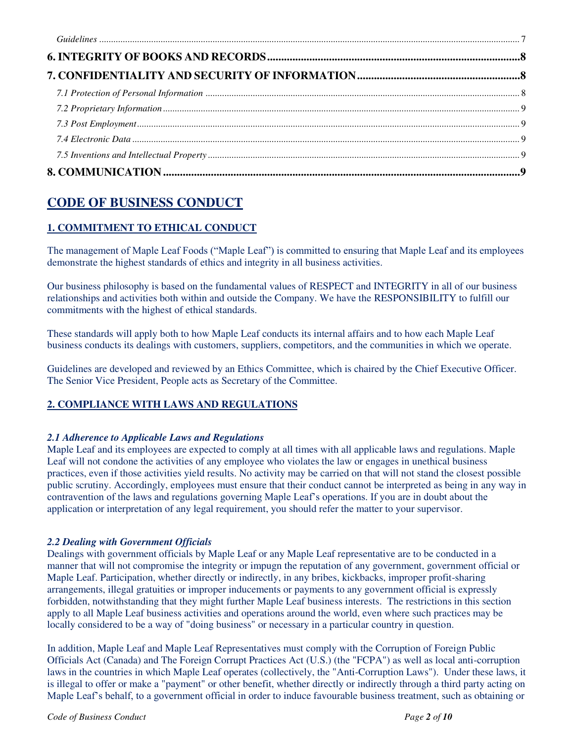## **CODE OF BUSINESS CONDUCT**

## <span id="page-1-0"></span>**1. COMMITMENT TO ETHICAL CONDUCT**

The management of Maple Leaf Foods ("Maple Leaf") is committed to ensuring that Maple Leaf and its employees demonstrate the highest standards of ethics and integrity in all business activities.

Our business philosophy is based on the fundamental values of RESPECT and INTEGRITY in all of our business relationships and activities both within and outside the Company. We have the RESPONSIBILITY to fulfill our commitments with the highest of ethical standards.

These standards will apply both to how Maple Leaf conducts its internal affairs and to how each Maple Leaf business conducts its dealings with customers, suppliers, competitors, and the communities in which we operate.

Guidelines are developed and reviewed by an Ethics Committee, which is chaired by the Chief Executive Officer. The Senior Vice President, People acts as Secretary of the Committee.

## <span id="page-1-1"></span>**2. COMPLIANCE WITH LAWS AND REGULATIONS**

## <span id="page-1-2"></span>*2.1 Adherence to Applicable Laws and Regulations*

Maple Leaf and its employees are expected to comply at all times with all applicable laws and regulations. Maple Leaf will not condone the activities of any employee who violates the law or engages in unethical business practices, even if those activities yield results. No activity may be carried on that will not stand the closest possible public scrutiny. Accordingly, employees must ensure that their conduct cannot be interpreted as being in any way in contravention of the laws and regulations governing Maple Leaf's operations. If you are in doubt about the application or interpretation of any legal requirement, you should refer the matter to your supervisor.

## <span id="page-1-3"></span>*2.2 Dealing with Government Officials*

Dealings with government officials by Maple Leaf or any Maple Leaf representative are to be conducted in a manner that will not compromise the integrity or impugn the reputation of any government, government official or Maple Leaf. Participation, whether directly or indirectly, in any bribes, kickbacks, improper profit-sharing arrangements, illegal gratuities or improper inducements or payments to any government official is expressly forbidden, notwithstanding that they might further Maple Leaf business interests. The restrictions in this section apply to all Maple Leaf business activities and operations around the world, even where such practices may be locally considered to be a way of "doing business" or necessary in a particular country in question.

In addition, Maple Leaf and Maple Leaf Representatives must comply with the Corruption of Foreign Public Officials Act (Canada) and The Foreign Corrupt Practices Act (U.S.) (the "FCPA") as well as local anti-corruption laws in the countries in which Maple Leaf operates (collectively, the "Anti-Corruption Laws"). Under these laws, it is illegal to offer or make a "payment" or other benefit, whether directly or indirectly through a third party acting on Maple Leaf's behalf, to a government official in order to induce favourable business treatment, such as obtaining or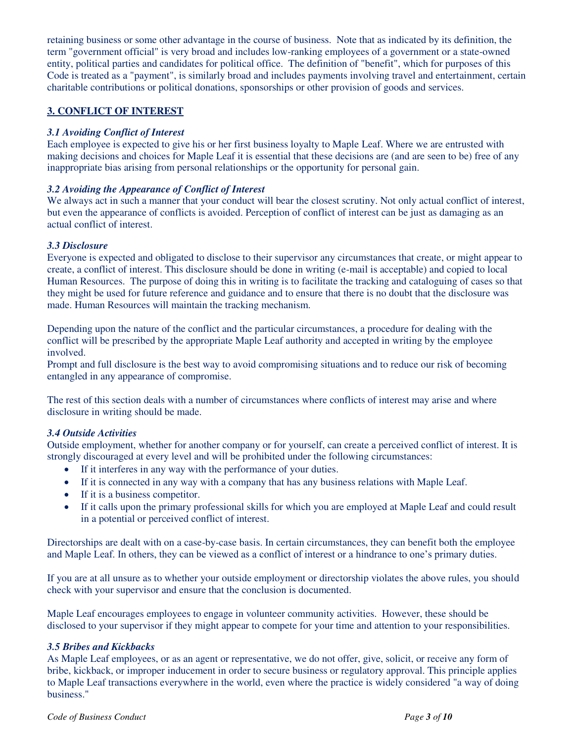retaining business or some other advantage in the course of business. Note that as indicated by its definition, the term "government official" is very broad and includes low-ranking employees of a government or a state-owned entity, political parties and candidates for political office. The definition of "benefit", which for purposes of this Code is treated as a "payment", is similarly broad and includes payments involving travel and entertainment, certain charitable contributions or political donations, sponsorships or other provision of goods and services.

#### <span id="page-2-0"></span>**3. CONFLICT OF INTEREST**

#### <span id="page-2-1"></span>*3.1 Avoiding Conflict of Interest*

Each employee is expected to give his or her first business loyalty to Maple Leaf. Where we are entrusted with making decisions and choices for Maple Leaf it is essential that these decisions are (and are seen to be) free of any inappropriate bias arising from personal relationships or the opportunity for personal gain.

#### <span id="page-2-2"></span>*3.2 Avoiding the Appearance of Conflict of Interest*

We always act in such a manner that your conduct will bear the closest scrutiny. Not only actual conflict of interest, but even the appearance of conflicts is avoided. Perception of conflict of interest can be just as damaging as an actual conflict of interest.

#### <span id="page-2-3"></span>*3.3 Disclosure*

Everyone is expected and obligated to disclose to their supervisor any circumstances that create, or might appear to create, a conflict of interest. This disclosure should be done in writing (e-mail is acceptable) and copied to local Human Resources. The purpose of doing this in writing is to facilitate the tracking and cataloguing of cases so that they might be used for future reference and guidance and to ensure that there is no doubt that the disclosure was made. Human Resources will maintain the tracking mechanism.

Depending upon the nature of the conflict and the particular circumstances, a procedure for dealing with the conflict will be prescribed by the appropriate Maple Leaf authority and accepted in writing by the employee involved.

Prompt and full disclosure is the best way to avoid compromising situations and to reduce our risk of becoming entangled in any appearance of compromise.

The rest of this section deals with a number of circumstances where conflicts of interest may arise and where disclosure in writing should be made.

#### <span id="page-2-4"></span>*3.4 Outside Activities*

Outside employment, whether for another company or for yourself, can create a perceived conflict of interest. It is strongly discouraged at every level and will be prohibited under the following circumstances:

- If it interferes in any way with the performance of your duties.
- If it is connected in any way with a company that has any business relations with Maple Leaf.
- If it is a business competitor.
- If it calls upon the primary professional skills for which you are employed at Maple Leaf and could result in a potential or perceived conflict of interest.

Directorships are dealt with on a case-by-case basis. In certain circumstances, they can benefit both the employee and Maple Leaf. In others, they can be viewed as a conflict of interest or a hindrance to one's primary duties.

If you are at all unsure as to whether your outside employment or directorship violates the above rules, you should check with your supervisor and ensure that the conclusion is documented.

Maple Leaf encourages employees to engage in volunteer community activities. However, these should be disclosed to your supervisor if they might appear to compete for your time and attention to your responsibilities.

#### <span id="page-2-5"></span>*3.5 Bribes and Kickbacks*

As Maple Leaf employees, or as an agent or representative, we do not offer, give, solicit, or receive any form of bribe, kickback, or improper inducement in order to secure business or regulatory approval. This principle applies to Maple Leaf transactions everywhere in the world, even where the practice is widely considered "a way of doing business."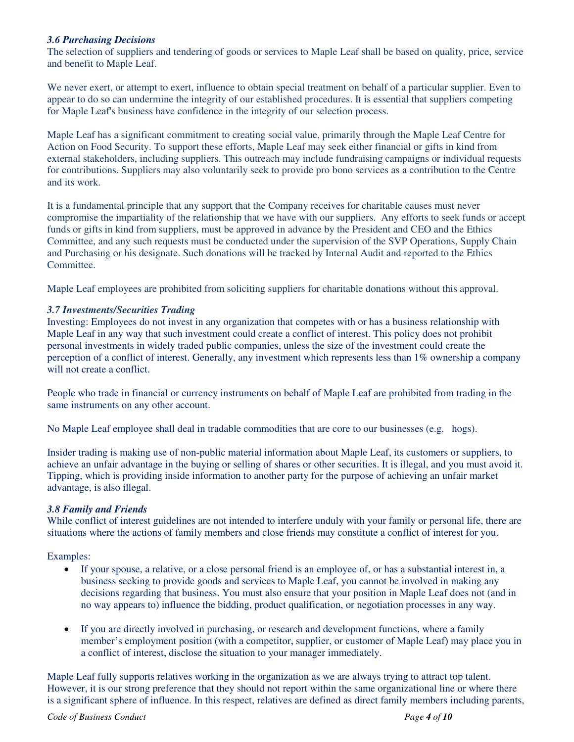#### <span id="page-3-0"></span>*3.6 Purchasing Decisions*

The selection of suppliers and tendering of goods or services to Maple Leaf shall be based on quality, price, service and benefit to Maple Leaf.

We never exert, or attempt to exert, influence to obtain special treatment on behalf of a particular supplier. Even to appear to do so can undermine the integrity of our established procedures. It is essential that suppliers competing for Maple Leaf's business have confidence in the integrity of our selection process.

Maple Leaf has a significant commitment to creating social value, primarily through the Maple Leaf Centre for Action on Food Security. To support these efforts, Maple Leaf may seek either financial or gifts in kind from external stakeholders, including suppliers. This outreach may include fundraising campaigns or individual requests for contributions. Suppliers may also voluntarily seek to provide pro bono services as a contribution to the Centre and its work.

It is a fundamental principle that any support that the Company receives for charitable causes must never compromise the impartiality of the relationship that we have with our suppliers. Any efforts to seek funds or accept funds or gifts in kind from suppliers, must be approved in advance by the President and CEO and the Ethics Committee, and any such requests must be conducted under the supervision of the SVP Operations, Supply Chain and Purchasing or his designate. Such donations will be tracked by Internal Audit and reported to the Ethics Committee.

Maple Leaf employees are prohibited from soliciting suppliers for charitable donations without this approval.

#### <span id="page-3-1"></span>*3.7 Investments/Securities Trading*

Investing: Employees do not invest in any organization that competes with or has a business relationship with Maple Leaf in any way that such investment could create a conflict of interest. This policy does not prohibit personal investments in widely traded public companies, unless the size of the investment could create the perception of a conflict of interest. Generally, any investment which represents less than 1% ownership a company will not create a conflict.

People who trade in financial or currency instruments on behalf of Maple Leaf are prohibited from trading in the same instruments on any other account.

No Maple Leaf employee shall deal in tradable commodities that are core to our businesses (e.g. hogs).

Insider trading is making use of non-public material information about Maple Leaf, its customers or suppliers, to achieve an unfair advantage in the buying or selling of shares or other securities. It is illegal, and you must avoid it. Tipping, which is providing inside information to another party for the purpose of achieving an unfair market advantage, is also illegal.

#### <span id="page-3-2"></span>*3.8 Family and Friends*

While conflict of interest guidelines are not intended to interfere unduly with your family or personal life, there are situations where the actions of family members and close friends may constitute a conflict of interest for you.

#### Examples:

- If your spouse, a relative, or a close personal friend is an employee of, or has a substantial interest in, a business seeking to provide goods and services to Maple Leaf, you cannot be involved in making any decisions regarding that business. You must also ensure that your position in Maple Leaf does not (and in no way appears to) influence the bidding, product qualification, or negotiation processes in any way.
- If you are directly involved in purchasing, or research and development functions, where a family member's employment position (with a competitor, supplier, or customer of Maple Leaf) may place you in a conflict of interest, disclose the situation to your manager immediately.

Maple Leaf fully supports relatives working in the organization as we are always trying to attract top talent. However, it is our strong preference that they should not report within the same organizational line or where there is a significant sphere of influence. In this respect, relatives are defined as direct family members including parents,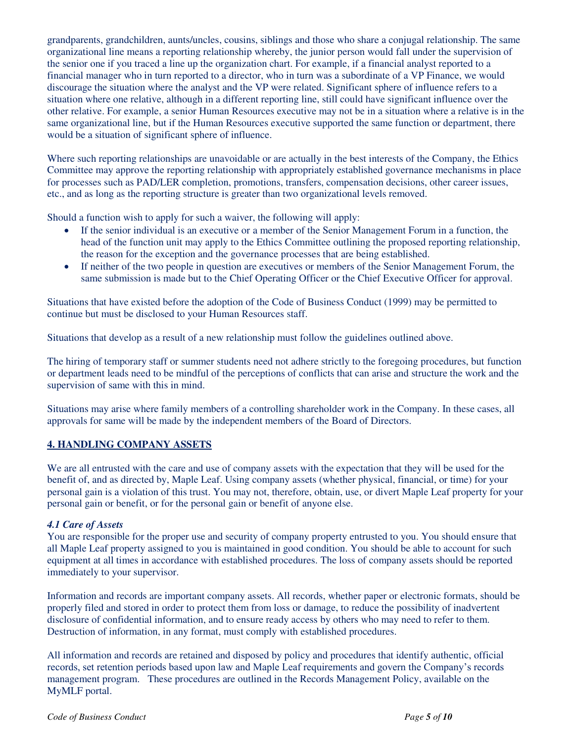grandparents, grandchildren, aunts/uncles, cousins, siblings and those who share a conjugal relationship. The same organizational line means a reporting relationship whereby, the junior person would fall under the supervision of the senior one if you traced a line up the organization chart. For example, if a financial analyst reported to a financial manager who in turn reported to a director, who in turn was a subordinate of a VP Finance, we would discourage the situation where the analyst and the VP were related. Significant sphere of influence refers to a situation where one relative, although in a different reporting line, still could have significant influence over the other relative. For example, a senior Human Resources executive may not be in a situation where a relative is in the same organizational line, but if the Human Resources executive supported the same function or department, there would be a situation of significant sphere of influence.

Where such reporting relationships are unavoidable or are actually in the best interests of the Company, the Ethics Committee may approve the reporting relationship with appropriately established governance mechanisms in place for processes such as PAD/LER completion, promotions, transfers, compensation decisions, other career issues, etc., and as long as the reporting structure is greater than two organizational levels removed.

Should a function wish to apply for such a waiver, the following will apply:

- If the senior individual is an executive or a member of the Senior Management Forum in a function, the head of the function unit may apply to the Ethics Committee outlining the proposed reporting relationship, the reason for the exception and the governance processes that are being established.
- If neither of the two people in question are executives or members of the Senior Management Forum, the same submission is made but to the Chief Operating Officer or the Chief Executive Officer for approval.

Situations that have existed before the adoption of the Code of Business Conduct (1999) may be permitted to continue but must be disclosed to your Human Resources staff.

Situations that develop as a result of a new relationship must follow the guidelines outlined above.

The hiring of temporary staff or summer students need not adhere strictly to the foregoing procedures, but function or department leads need to be mindful of the perceptions of conflicts that can arise and structure the work and the supervision of same with this in mind.

Situations may arise where family members of a controlling shareholder work in the Company. In these cases, all approvals for same will be made by the independent members of the Board of Directors.

#### <span id="page-4-0"></span>**4. HANDLING COMPANY ASSETS**

We are all entrusted with the care and use of company assets with the expectation that they will be used for the benefit of, and as directed by, Maple Leaf. Using company assets (whether physical, financial, or time) for your personal gain is a violation of this trust. You may not, therefore, obtain, use, or divert Maple Leaf property for your personal gain or benefit, or for the personal gain or benefit of anyone else.

#### <span id="page-4-1"></span>*4.1 Care of Assets*

You are responsible for the proper use and security of company property entrusted to you. You should ensure that all Maple Leaf property assigned to you is maintained in good condition. You should be able to account for such equipment at all times in accordance with established procedures. The loss of company assets should be reported immediately to your supervisor.

Information and records are important company assets. All records, whether paper or electronic formats, should be properly filed and stored in order to protect them from loss or damage, to reduce the possibility of inadvertent disclosure of confidential information, and to ensure ready access by others who may need to refer to them. Destruction of information, in any format, must comply with established procedures.

All information and records are retained and disposed by policy and procedures that identify authentic, official records, set retention periods based upon law and Maple Leaf requirements and govern the Company's records management program. These procedures are outlined in the Records Management Policy, available on the MyMLF portal.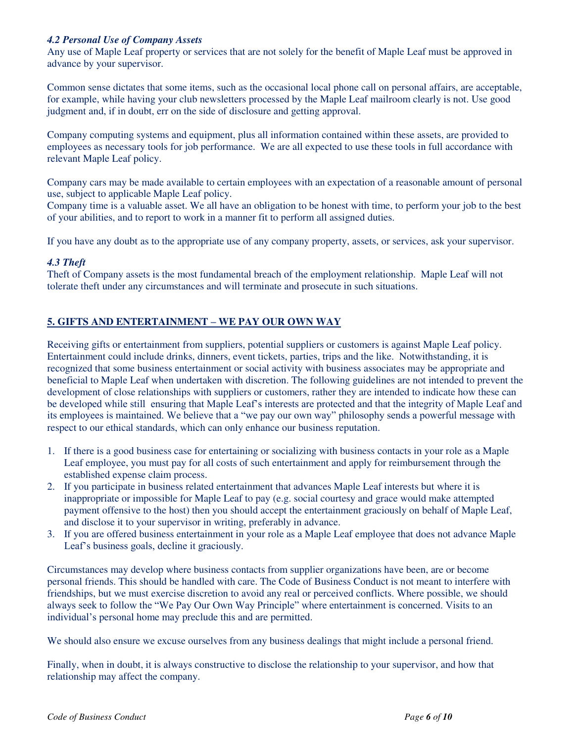#### <span id="page-5-0"></span>*4.2 Personal Use of Company Assets*

Any use of Maple Leaf property or services that are not solely for the benefit of Maple Leaf must be approved in advance by your supervisor.

Common sense dictates that some items, such as the occasional local phone call on personal affairs, are acceptable, for example, while having your club newsletters processed by the Maple Leaf mailroom clearly is not. Use good judgment and, if in doubt, err on the side of disclosure and getting approval.

Company computing systems and equipment, plus all information contained within these assets, are provided to employees as necessary tools for job performance. We are all expected to use these tools in full accordance with relevant Maple Leaf policy.

Company cars may be made available to certain employees with an expectation of a reasonable amount of personal use, subject to applicable Maple Leaf policy.

Company time is a valuable asset. We all have an obligation to be honest with time, to perform your job to the best of your abilities, and to report to work in a manner fit to perform all assigned duties.

If you have any doubt as to the appropriate use of any company property, assets, or services, ask your supervisor.

#### <span id="page-5-1"></span>*4.3 Theft*

Theft of Company assets is the most fundamental breach of the employment relationship. Maple Leaf will not tolerate theft under any circumstances and will terminate and prosecute in such situations.

#### <span id="page-5-2"></span>**5. GIFTS AND ENTERTAINMENT – WE PAY OUR OWN WAY**

Receiving gifts or entertainment from suppliers, potential suppliers or customers is against Maple Leaf policy. Entertainment could include drinks, dinners, event tickets, parties, trips and the like. Notwithstanding, it is recognized that some business entertainment or social activity with business associates may be appropriate and beneficial to Maple Leaf when undertaken with discretion. The following guidelines are not intended to prevent the development of close relationships with suppliers or customers, rather they are intended to indicate how these can be developed while still ensuring that Maple Leaf's interests are protected and that the integrity of Maple Leaf and its employees is maintained. We believe that a "we pay our own way" philosophy sends a powerful message with respect to our ethical standards, which can only enhance our business reputation.

- 1. If there is a good business case for entertaining or socializing with business contacts in your role as a Maple Leaf employee, you must pay for all costs of such entertainment and apply for reimbursement through the established expense claim process.
- 2. If you participate in business related entertainment that advances Maple Leaf interests but where it is inappropriate or impossible for Maple Leaf to pay (e.g. social courtesy and grace would make attempted payment offensive to the host) then you should accept the entertainment graciously on behalf of Maple Leaf, and disclose it to your supervisor in writing, preferably in advance.
- 3. If you are offered business entertainment in your role as a Maple Leaf employee that does not advance Maple Leaf's business goals, decline it graciously.

Circumstances may develop where business contacts from supplier organizations have been, are or become personal friends. This should be handled with care. The Code of Business Conduct is not meant to interfere with friendships, but we must exercise discretion to avoid any real or perceived conflicts. Where possible, we should always seek to follow the "We Pay Our Own Way Principle" where entertainment is concerned. Visits to an individual's personal home may preclude this and are permitted.

We should also ensure we excuse ourselves from any business dealings that might include a personal friend.

Finally, when in doubt, it is always constructive to disclose the relationship to your supervisor, and how that relationship may affect the company.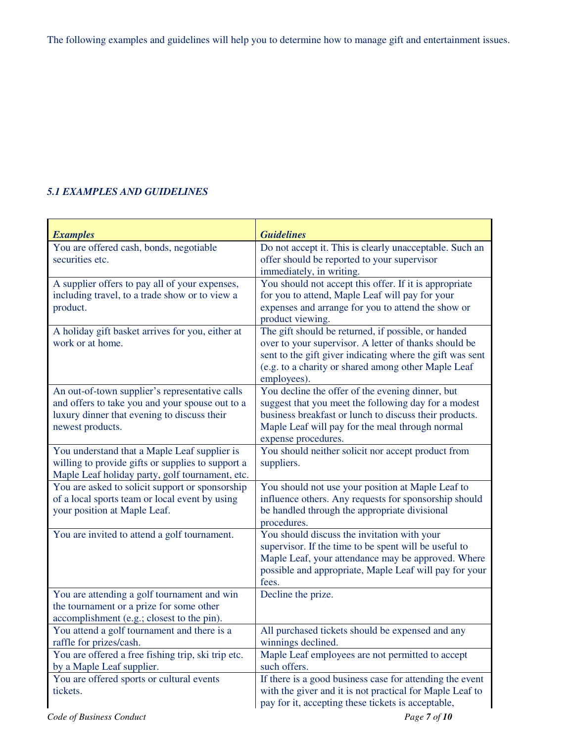The following examples and guidelines will help you to determine how to manage gift and entertainment issues.

## <span id="page-6-0"></span>*5.1 EXAMPLES AND GUIDELINES*

<span id="page-6-2"></span><span id="page-6-1"></span>

| <b>Examples</b>                                                      | <b>Guidelines</b>                                                                                            |
|----------------------------------------------------------------------|--------------------------------------------------------------------------------------------------------------|
| You are offered cash, bonds, negotiable                              | Do not accept it. This is clearly unacceptable. Such an                                                      |
| securities etc.                                                      | offer should be reported to your supervisor                                                                  |
|                                                                      | immediately, in writing.                                                                                     |
| A supplier offers to pay all of your expenses,                       | You should not accept this offer. If it is appropriate                                                       |
| including travel, to a trade show or to view a                       | for you to attend, Maple Leaf will pay for your                                                              |
| product.                                                             | expenses and arrange for you to attend the show or                                                           |
|                                                                      | product viewing.                                                                                             |
| A holiday gift basket arrives for you, either at<br>work or at home. | The gift should be returned, if possible, or handed<br>over to your supervisor. A letter of thanks should be |
|                                                                      | sent to the gift giver indicating where the gift was sent                                                    |
|                                                                      | (e.g. to a charity or shared among other Maple Leaf                                                          |
|                                                                      | employees).                                                                                                  |
| An out-of-town supplier's representative calls                       | You decline the offer of the evening dinner, but                                                             |
| and offers to take you and your spouse out to a                      | suggest that you meet the following day for a modest                                                         |
| luxury dinner that evening to discuss their                          | business breakfast or lunch to discuss their products.                                                       |
| newest products.                                                     | Maple Leaf will pay for the meal through normal                                                              |
|                                                                      | expense procedures.                                                                                          |
| You understand that a Maple Leaf supplier is                         | You should neither solicit nor accept product from                                                           |
| willing to provide gifts or supplies to support a                    | suppliers.                                                                                                   |
| Maple Leaf holiday party, golf tournament, etc.                      |                                                                                                              |
| You are asked to solicit support or sponsorship                      | You should not use your position at Maple Leaf to                                                            |
| of a local sports team or local event by using                       | influence others. Any requests for sponsorship should                                                        |
| your position at Maple Leaf.                                         | be handled through the appropriate divisional                                                                |
| You are invited to attend a golf tournament.                         | procedures.<br>You should discuss the invitation with your                                                   |
|                                                                      | supervisor. If the time to be spent will be useful to                                                        |
|                                                                      | Maple Leaf, your attendance may be approved. Where                                                           |
|                                                                      | possible and appropriate, Maple Leaf will pay for your                                                       |
|                                                                      | fees.                                                                                                        |
| You are attending a golf tournament and win                          | Decline the prize.                                                                                           |
| the tournament or a prize for some other                             |                                                                                                              |
| accomplishment (e.g.; closest to the pin).                           |                                                                                                              |
| You attend a golf tournament and there is a                          | All purchased tickets should be expensed and any                                                             |
| raffle for prizes/cash.                                              | winnings declined.                                                                                           |
| You are offered a free fishing trip, ski trip etc.                   | Maple Leaf employees are not permitted to accept                                                             |
| by a Maple Leaf supplier.                                            | such offers.                                                                                                 |
| You are offered sports or cultural events                            | If there is a good business case for attending the event                                                     |
| tickets.                                                             | with the giver and it is not practical for Maple Leaf to                                                     |
|                                                                      | pay for it, accepting these tickets is acceptable,                                                           |

*Code of Business Conduct Page 7 of 10*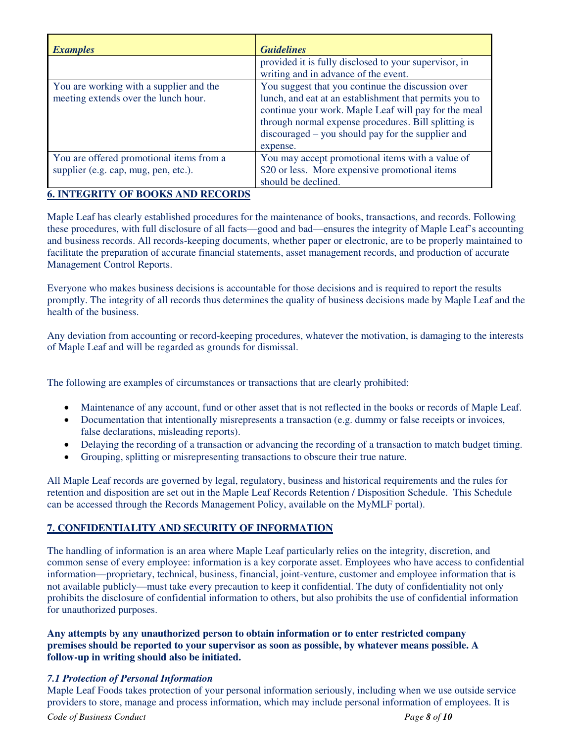| <b>Examples</b>                                                                  | <b>Guidelines</b>                                                                                                                                                                                                                                                                              |
|----------------------------------------------------------------------------------|------------------------------------------------------------------------------------------------------------------------------------------------------------------------------------------------------------------------------------------------------------------------------------------------|
|                                                                                  | provided it is fully disclosed to your supervisor, in<br>writing and in advance of the event.                                                                                                                                                                                                  |
| You are working with a supplier and the<br>meeting extends over the lunch hour.  | You suggest that you continue the discussion over<br>lunch, and eat at an establishment that permits you to<br>continue your work. Maple Leaf will pay for the meal<br>through normal expense procedures. Bill splitting is<br>$disconraged - you should pay for the supplier and$<br>expense. |
| You are offered promotional items from a<br>supplier (e.g. cap, mug, pen, etc.). | You may accept promotional items with a value of<br>\$20 or less. More expensive promotional items<br>should be declined.                                                                                                                                                                      |

#### <span id="page-7-0"></span>**6. INTEGRITY OF BOOKS AND RECORDS**

Maple Leaf has clearly established procedures for the maintenance of books, transactions, and records. Following these procedures, with full disclosure of all facts—good and bad—ensures the integrity of Maple Leaf's accounting and business records. All records-keeping documents, whether paper or electronic, are to be properly maintained to facilitate the preparation of accurate financial statements, asset management records, and production of accurate Management Control Reports.

Everyone who makes business decisions is accountable for those decisions and is required to report the results promptly. The integrity of all records thus determines the quality of business decisions made by Maple Leaf and the health of the business.

Any deviation from accounting or record-keeping procedures, whatever the motivation, is damaging to the interests of Maple Leaf and will be regarded as grounds for dismissal.

The following are examples of circumstances or transactions that are clearly prohibited:

- Maintenance of any account, fund or other asset that is not reflected in the books or records of Maple Leaf.
- Documentation that intentionally misrepresents a transaction (e.g. dummy or false receipts or invoices, false declarations, misleading reports).
- Delaying the recording of a transaction or advancing the recording of a transaction to match budget timing.
- Grouping, splitting or misrepresenting transactions to obscure their true nature.

All Maple Leaf records are governed by legal, regulatory, business and historical requirements and the rules for retention and disposition are set out in the Maple Leaf Records Retention / Disposition Schedule. This Schedule can be accessed through the Records Management Policy, available on the MyMLF portal).

#### <span id="page-7-1"></span>**7. CONFIDENTIALITY AND SECURITY OF INFORMATION**

The handling of information is an area where Maple Leaf particularly relies on the integrity, discretion, and common sense of every employee: information is a key corporate asset. Employees who have access to confidential information—proprietary, technical, business, financial, joint-venture, customer and employee information that is not available publicly—must take every precaution to keep it confidential. The duty of confidentiality not only prohibits the disclosure of confidential information to others, but also prohibits the use of confidential information for unauthorized purposes.

#### **Any attempts by any unauthorized person to obtain information or to enter restricted company premises should be reported to your supervisor as soon as possible, by whatever means possible. A follow-up in writing should also be initiated.**

#### <span id="page-7-2"></span>*7.1 Protection of Personal Information*

Maple Leaf Foods takes protection of your personal information seriously, including when we use outside service providers to store, manage and process information, which may include personal information of employees. It is

*Code of Business Conduct Page 8 of 10*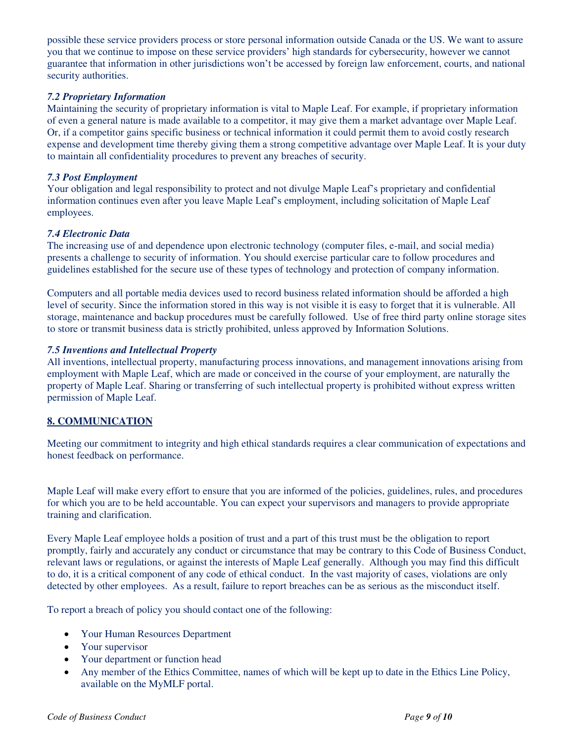possible these service providers process or store personal information outside Canada or the US. We want to assure you that we continue to impose on these service providers' high standards for cybersecurity, however we cannot guarantee that information in other jurisdictions won't be accessed by foreign law enforcement, courts, and national security authorities.

#### <span id="page-8-0"></span>*7.2 Proprietary Information*

Maintaining the security of proprietary information is vital to Maple Leaf. For example, if proprietary information of even a general nature is made available to a competitor, it may give them a market advantage over Maple Leaf. Or, if a competitor gains specific business or technical information it could permit them to avoid costly research expense and development time thereby giving them a strong competitive advantage over Maple Leaf. It is your duty to maintain all confidentiality procedures to prevent any breaches of security.

#### <span id="page-8-1"></span>*7.3 Post Employment*

Your obligation and legal responsibility to protect and not divulge Maple Leaf's proprietary and confidential information continues even after you leave Maple Leaf's employment, including solicitation of Maple Leaf employees.

#### <span id="page-8-2"></span>*7.4 Electronic Data*

The increasing use of and dependence upon electronic technology (computer files, e-mail, and social media) presents a challenge to security of information. You should exercise particular care to follow procedures and guidelines established for the secure use of these types of technology and protection of company information.

Computers and all portable media devices used to record business related information should be afforded a high level of security. Since the information stored in this way is not visible it is easy to forget that it is vulnerable. All storage, maintenance and backup procedures must be carefully followed. Use of free third party online storage sites to store or transmit business data is strictly prohibited, unless approved by Information Solutions.

#### <span id="page-8-3"></span>*7.5 Inventions and Intellectual Property*

All inventions, intellectual property, manufacturing process innovations, and management innovations arising from employment with Maple Leaf, which are made or conceived in the course of your employment, are naturally the property of Maple Leaf. Sharing or transferring of such intellectual property is prohibited without express written permission of Maple Leaf.

#### <span id="page-8-4"></span>**8. COMMUNICATION**

Meeting our commitment to integrity and high ethical standards requires a clear communication of expectations and honest feedback on performance.

Maple Leaf will make every effort to ensure that you are informed of the policies, guidelines, rules, and procedures for which you are to be held accountable. You can expect your supervisors and managers to provide appropriate training and clarification.

Every Maple Leaf employee holds a position of trust and a part of this trust must be the obligation to report promptly, fairly and accurately any conduct or circumstance that may be contrary to this Code of Business Conduct, relevant laws or regulations, or against the interests of Maple Leaf generally. Although you may find this difficult to do, it is a critical component of any code of ethical conduct. In the vast majority of cases, violations are only detected by other employees. As a result, failure to report breaches can be as serious as the misconduct itself.

To report a breach of policy you should contact one of the following:

- Your Human Resources Department
- Your supervisor
- Your department or function head
- Any member of the Ethics Committee, names of which will be kept up to date in the Ethics Line Policy, available on the MyMLF portal.